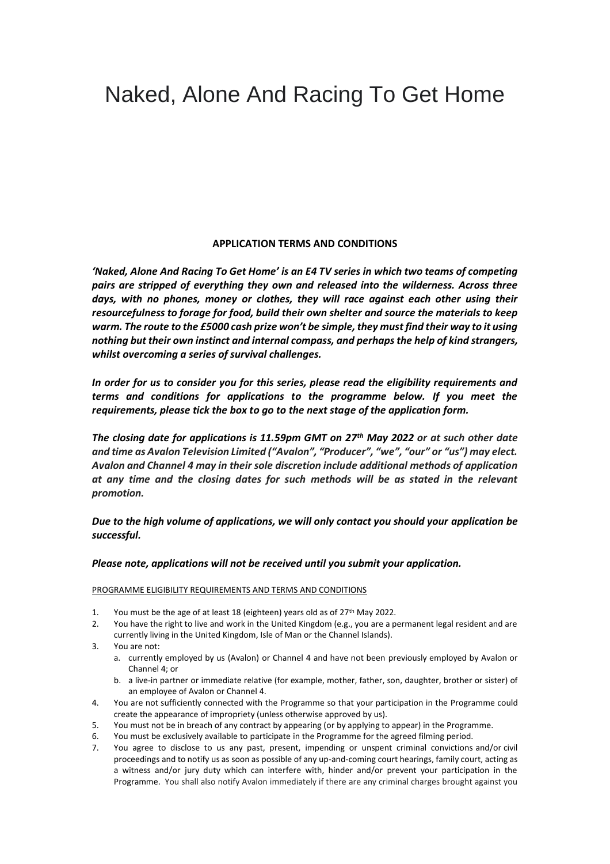## Naked, Alone And Racing To Get Home

## **APPLICATION TERMS AND CONDITIONS**

*'Naked, Alone And Racing To Get Home' is an E4 TV series in which two teams of competing pairs are stripped of everything they own and released into the wilderness. Across three days, with no phones, money or clothes, they will race against each other using their resourcefulness to forage for food, build their own shelter and source the materials to keep warm. The route to the £5000 cash prize won't be simple, they must find their way to it using nothing but their own instinct and internal compass, and perhaps the help of kind strangers, whilst overcoming a series of survival challenges.*

*In order for us to consider you for this series, please read the eligibility requirements and terms and conditions for applications to the programme below. If you meet the requirements, please tick the box to go to the next stage of the application form.* 

*The closing date for applications is 11.59pm GMT on 27th May 2022 or at such other date and time as Avalon Television Limited ("Avalon", "Producer", "we", "our" or "us") may elect. Avalon and Channel 4 may in their sole discretion include additional methods of application at any time and the closing dates for such methods will be as stated in the relevant promotion.*

*Due to the high volume of applications, we will only contact you should your application be successful.*

## *Please note, applications will not be received until you submit your application.*

PROGRAMME ELIGIBILITY REQUIREMENTS AND TERMS AND CONDITIONS

- 1. You must be the age of at least 18 (eighteen) years old as of 27<sup>th</sup> May 2022.
- 2. You have the right to live and work in the United Kingdom (e.g., you are a permanent legal resident and are currently living in the United Kingdom, Isle of Man or the Channel Islands).
- 3. You are not:
	- a. currently employed by us (Avalon) or Channel 4 and have not been previously employed by Avalon or Channel 4; or
	- b. a live-in partner or immediate relative (for example, mother, father, son, daughter, brother or sister) of an employee of Avalon or Channel 4.
- 4. You are not sufficiently connected with the Programme so that your participation in the Programme could create the appearance of impropriety (unless otherwise approved by us).
- 5. You must not be in breach of any contract by appearing (or by applying to appear) in the Programme.
- 6. You must be exclusively available to participate in the Programme for the agreed filming period.
- 7. You agree to disclose to us any past, present, impending or unspent criminal convictions and/or civil proceedings and to notify us as soon as possible of any up-and-coming court hearings, family court, acting as a witness and/or jury duty which can interfere with, hinder and/or prevent your participation in the Programme. You shall also notify Avalon immediately if there are any criminal charges brought against you